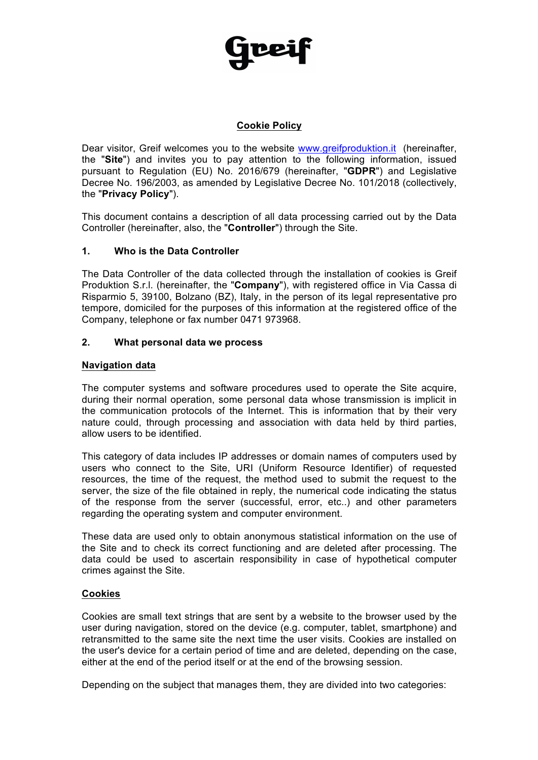

# **Cookie Policy**

Dear visitor, Greif welcomes you to the website www.greifproduktion.it (hereinafter, the "**Site**") and invites you to pay attention to the following information, issued pursuant to Regulation (EU) No. 2016/679 (hereinafter, "**GDPR**") and Legislative Decree No. 196/2003, as amended by Legislative Decree No. 101/2018 (collectively, the "**Privacy Policy**").

This document contains a description of all data processing carried out by the Data Controller (hereinafter, also, the "**Controller**") through the Site.

#### **1. Who is the Data Controller**

The Data Controller of the data collected through the installation of cookies is Greif Produktion S.r.l. (hereinafter, the "**Company**"), with registered office in Via Cassa di Risparmio 5, 39100, Bolzano (BZ), Italy, in the person of its legal representative pro tempore, domiciled for the purposes of this information at the registered office of the Company, telephone or fax number 0471 973968.

#### **2. What personal data we process**

#### **Navigation data**

The computer systems and software procedures used to operate the Site acquire, during their normal operation, some personal data whose transmission is implicit in the communication protocols of the Internet. This is information that by their very nature could, through processing and association with data held by third parties, allow users to be identified.

This category of data includes IP addresses or domain names of computers used by users who connect to the Site, URI (Uniform Resource Identifier) of requested resources, the time of the request, the method used to submit the request to the server, the size of the file obtained in reply, the numerical code indicating the status of the response from the server (successful, error, etc..) and other parameters regarding the operating system and computer environment.

These data are used only to obtain anonymous statistical information on the use of the Site and to check its correct functioning and are deleted after processing. The data could be used to ascertain responsibility in case of hypothetical computer crimes against the Site.

#### **Cookies**

Cookies are small text strings that are sent by a website to the browser used by the user during navigation, stored on the device (e.g. computer, tablet, smartphone) and retransmitted to the same site the next time the user visits. Cookies are installed on the user's device for a certain period of time and are deleted, depending on the case, either at the end of the period itself or at the end of the browsing session.

Depending on the subject that manages them, they are divided into two categories: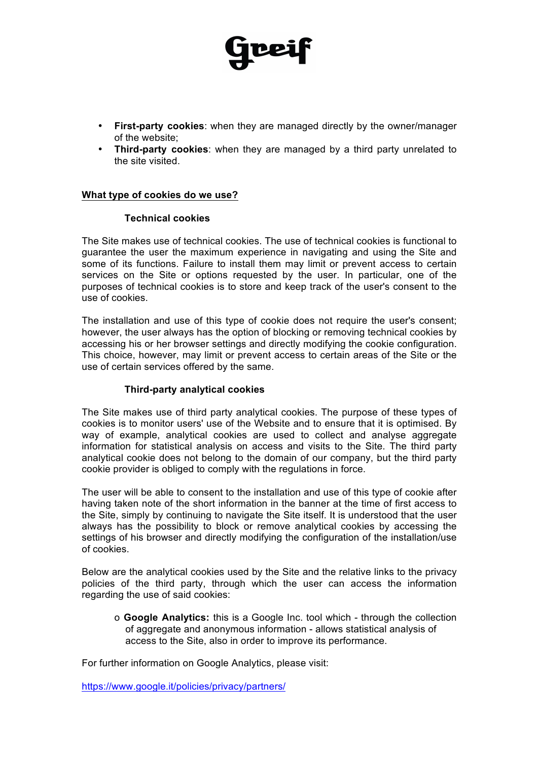• **First-party cookies**: when they are managed directly by the owner/manager of the website;

DB

• **Third-party cookies**: when they are managed by a third party unrelated to the site visited.

#### **What type of cookies do we use?**

#### **Technical cookies**

The Site makes use of technical cookies. The use of technical cookies is functional to guarantee the user the maximum experience in navigating and using the Site and some of its functions. Failure to install them may limit or prevent access to certain services on the Site or options requested by the user. In particular, one of the purposes of technical cookies is to store and keep track of the user's consent to the use of cookies.

The installation and use of this type of cookie does not require the user's consent; however, the user always has the option of blocking or removing technical cookies by accessing his or her browser settings and directly modifying the cookie configuration. This choice, however, may limit or prevent access to certain areas of the Site or the use of certain services offered by the same.

#### **Third-party analytical cookies**

The Site makes use of third party analytical cookies. The purpose of these types of cookies is to monitor users' use of the Website and to ensure that it is optimised. By way of example, analytical cookies are used to collect and analyse aggregate information for statistical analysis on access and visits to the Site. The third party analytical cookie does not belong to the domain of our company, but the third party cookie provider is obliged to comply with the regulations in force.

The user will be able to consent to the installation and use of this type of cookie after having taken note of the short information in the banner at the time of first access to the Site, simply by continuing to navigate the Site itself. It is understood that the user always has the possibility to block or remove analytical cookies by accessing the settings of his browser and directly modifying the configuration of the installation/use of cookies.

Below are the analytical cookies used by the Site and the relative links to the privacy policies of the third party, through which the user can access the information regarding the use of said cookies:

o **Google Analytics:** this is a Google Inc. tool which - through the collection of aggregate and anonymous information - allows statistical analysis of access to the Site, also in order to improve its performance.

For further information on Google Analytics, please visit:

https://www.google.it/policies/privacy/partners/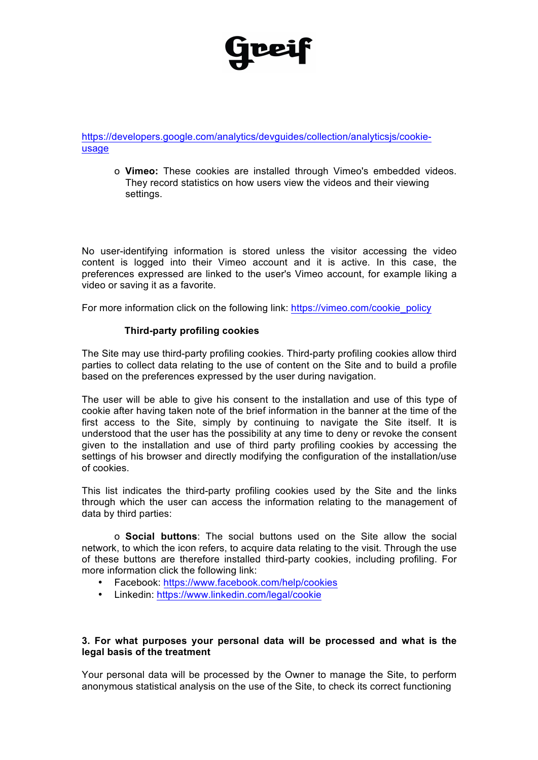# upei

https://developers.google.com/analytics/devguides/collection/analyticsjs/cookieusage

o **Vimeo:** These cookies are installed through Vimeo's embedded videos. They record statistics on how users view the videos and their viewing settings.

No user-identifying information is stored unless the visitor accessing the video content is logged into their Vimeo account and it is active. In this case, the preferences expressed are linked to the user's Vimeo account, for example liking a video or saving it as a favorite.

For more information click on the following link: https://vimeo.com/cookie\_policy

#### **Third-party profiling cookies**

The Site may use third-party profiling cookies. Third-party profiling cookies allow third parties to collect data relating to the use of content on the Site and to build a profile based on the preferences expressed by the user during navigation.

The user will be able to give his consent to the installation and use of this type of cookie after having taken note of the brief information in the banner at the time of the first access to the Site, simply by continuing to navigate the Site itself. It is understood that the user has the possibility at any time to deny or revoke the consent given to the installation and use of third party profiling cookies by accessing the settings of his browser and directly modifying the configuration of the installation/use of cookies.

This list indicates the third-party profiling cookies used by the Site and the links through which the user can access the information relating to the management of data by third parties:

o **Social buttons**: The social buttons used on the Site allow the social network, to which the icon refers, to acquire data relating to the visit. Through the use of these buttons are therefore installed third-party cookies, including profiling. For more information click the following link:

- Facebook: https://www.facebook.com/help/cookies
- Linkedin: https://www.linkedin.com/legal/cookie

# **3. For what purposes your personal data will be processed and what is the legal basis of the treatment**

Your personal data will be processed by the Owner to manage the Site, to perform anonymous statistical analysis on the use of the Site, to check its correct functioning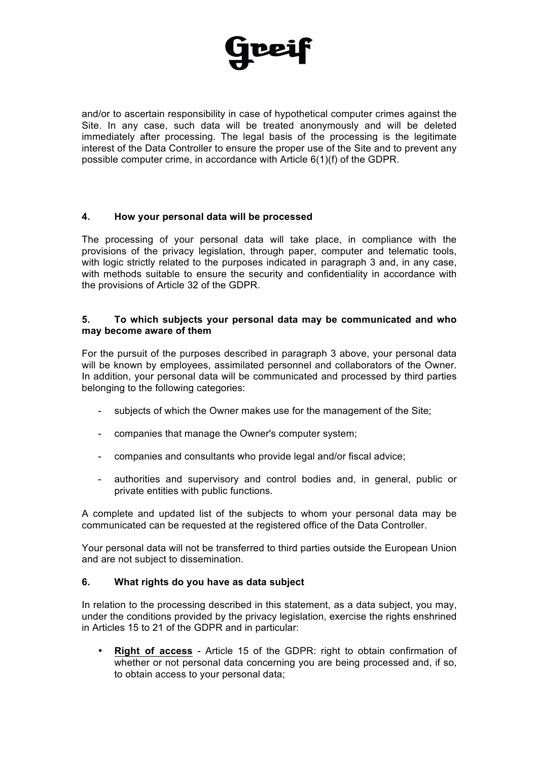

and/or to ascertain responsibility in case of hypothetical computer crimes against the Site. In any case, such data will be treated anonymously and will be deleted immediately after processing. The legal basis of the processing is the legitimate interest of the Data Controller to ensure the proper use of the Site and to prevent any possible computer crime, in accordance with Article 6(1)(f) of the GDPR.

# **4. How your personal data will be processed**

The processing of your personal data will take place, in compliance with the provisions of the privacy legislation, through paper, computer and telematic tools, with logic strictly related to the purposes indicated in paragraph 3 and, in any case, with methods suitable to ensure the security and confidentiality in accordance with the provisions of Article 32 of the GDPR.

#### **5. To which subjects your personal data may be communicated and who may become aware of them**

For the pursuit of the purposes described in paragraph 3 above, your personal data will be known by employees, assimilated personnel and collaborators of the Owner. In addition, your personal data will be communicated and processed by third parties belonging to the following categories:

- subjects of which the Owner makes use for the management of the Site;
- companies that manage the Owner's computer system;
- companies and consultants who provide legal and/or fiscal advice;
- authorities and supervisory and control bodies and, in general, public or private entities with public functions.

A complete and updated list of the subjects to whom your personal data may be communicated can be requested at the registered office of the Data Controller.

Your personal data will not be transferred to third parties outside the European Union and are not subject to dissemination.

# **6. What rights do you have as data subject**

In relation to the processing described in this statement, as a data subject, you may, under the conditions provided by the privacy legislation, exercise the rights enshrined in Articles 15 to 21 of the GDPR and in particular:

• **Right of access** - Article 15 of the GDPR: right to obtain confirmation of whether or not personal data concerning you are being processed and, if so, to obtain access to your personal data;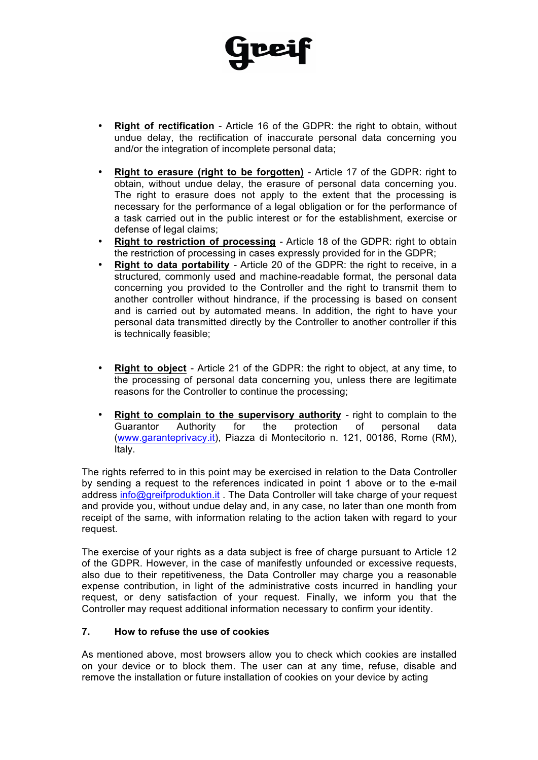

- **Right of rectification** Article 16 of the GDPR: the right to obtain, without undue delay, the rectification of inaccurate personal data concerning you and/or the integration of incomplete personal data;
- **Right to erasure (right to be forgotten)** Article 17 of the GDPR: right to obtain, without undue delay, the erasure of personal data concerning you. The right to erasure does not apply to the extent that the processing is necessary for the performance of a legal obligation or for the performance of a task carried out in the public interest or for the establishment, exercise or defense of legal claims;
- **Right to restriction of processing** Article 18 of the GDPR: right to obtain the restriction of processing in cases expressly provided for in the GDPR;
- **Right to data portability** Article 20 of the GDPR: the right to receive, in a structured, commonly used and machine-readable format, the personal data concerning you provided to the Controller and the right to transmit them to another controller without hindrance, if the processing is based on consent and is carried out by automated means. In addition, the right to have your personal data transmitted directly by the Controller to another controller if this is technically feasible;
- **Right to object** Article 21 of the GDPR: the right to object, at any time, to the processing of personal data concerning you, unless there are legitimate reasons for the Controller to continue the processing;
- **Right to complain to the supervisory authority** right to complain to the Guarantor Authority for the protection of personal data (www.garanteprivacy.it), Piazza di Montecitorio n. 121, 00186, Rome (RM), Italy.

The rights referred to in this point may be exercised in relation to the Data Controller by sending a request to the references indicated in point 1 above or to the e-mail address info@greifproduktion.it . The Data Controller will take charge of your request and provide you, without undue delay and, in any case, no later than one month from receipt of the same, with information relating to the action taken with regard to your request.

The exercise of your rights as a data subject is free of charge pursuant to Article 12 of the GDPR. However, in the case of manifestly unfounded or excessive requests, also due to their repetitiveness, the Data Controller may charge you a reasonable expense contribution, in light of the administrative costs incurred in handling your request, or deny satisfaction of your request. Finally, we inform you that the Controller may request additional information necessary to confirm your identity.

# **7. How to refuse the use of cookies**

As mentioned above, most browsers allow you to check which cookies are installed on your device or to block them. The user can at any time, refuse, disable and remove the installation or future installation of cookies on your device by acting